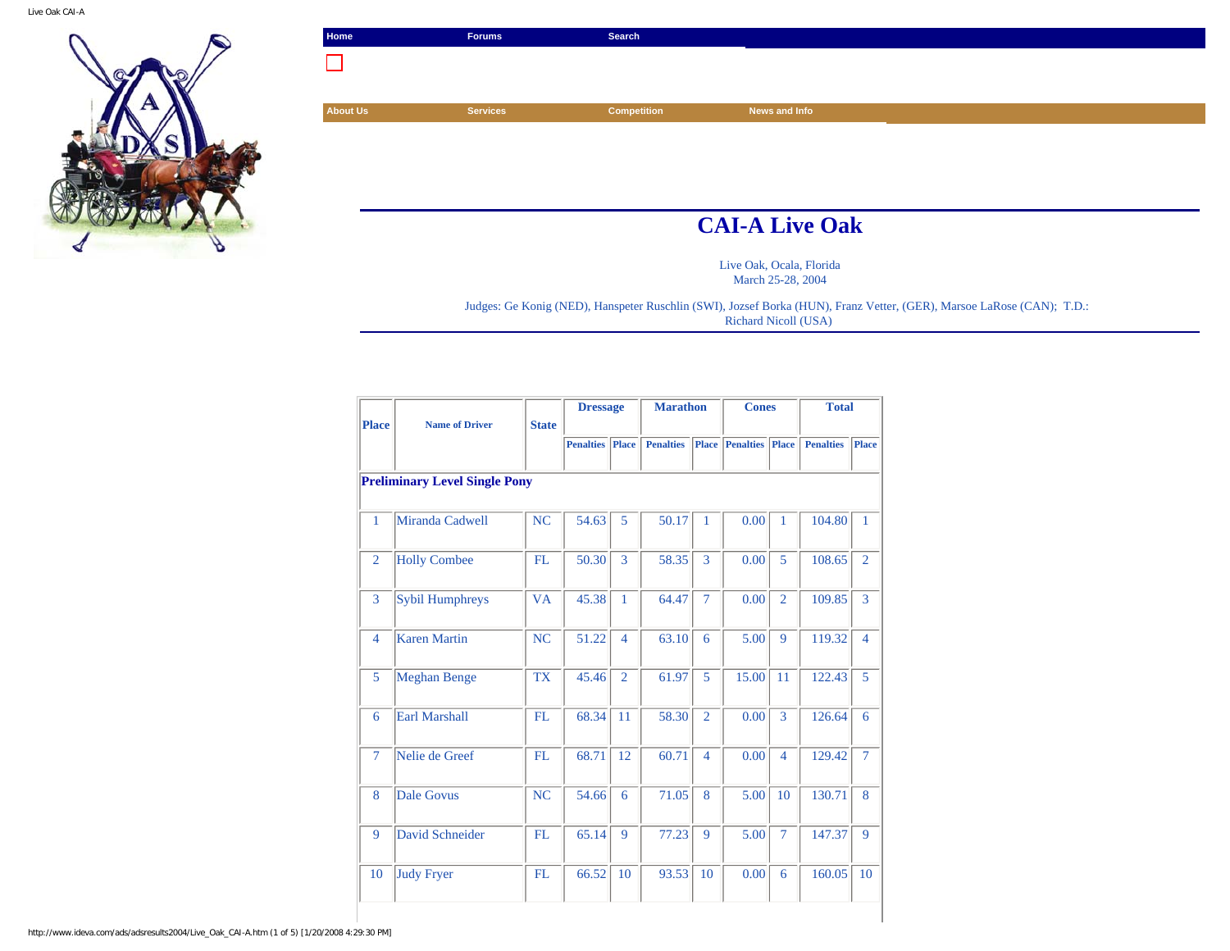

| Home            | <b>Forums</b>         | Search             |               |  |  |  |  |  |  |
|-----------------|-----------------------|--------------------|---------------|--|--|--|--|--|--|
|                 |                       |                    |               |  |  |  |  |  |  |
|                 |                       |                    |               |  |  |  |  |  |  |
| <b>About Us</b> | <b>Services</b>       | <b>Competition</b> | News and Info |  |  |  |  |  |  |
|                 |                       |                    |               |  |  |  |  |  |  |
|                 |                       |                    |               |  |  |  |  |  |  |
|                 |                       |                    |               |  |  |  |  |  |  |
|                 |                       |                    |               |  |  |  |  |  |  |
|                 | <b>CAI-A Live Oak</b> |                    |               |  |  |  |  |  |  |

Live Oak, Ocala, Florida March 25-28, 2004

Judges: Ge Konig (NED), Hanspeter Ruschlin (SWI), Jozsef Borka (HUN), Franz Vetter, (GER), Marsoe LaRose (CAN); T.D.: Richard Nicoll (USA)

| <b>Place</b>   | <b>Name of Driver</b>                | <b>State</b> | <b>Dressage</b>  |                | <b>Marathon</b>  |                | <b>Cones</b>           |                | <b>Total</b>     |                |  |  |  |
|----------------|--------------------------------------|--------------|------------------|----------------|------------------|----------------|------------------------|----------------|------------------|----------------|--|--|--|
|                |                                      |              | <b>Penalties</b> | Place          | <b>Penalties</b> |                | <b>Place</b> Penalties | <b>Place</b>   | <b>Penalties</b> | Place          |  |  |  |
|                | <b>Preliminary Level Single Pony</b> |              |                  |                |                  |                |                        |                |                  |                |  |  |  |
| $\mathbf{1}$   | Miranda Cadwell                      | <b>NC</b>    | 54.63            | 5              | 50.17            | 1              | 0.00                   | 1              | 104.80           | $\mathbf{1}$   |  |  |  |
| $\overline{2}$ | <b>Holly Combee</b>                  | <b>FL</b>    | 50.30            | 3              | 58.35            | 3              | 0.00                   | 5              | 108.65           | $\overline{2}$ |  |  |  |
| 3              | <b>Sybil Humphreys</b>               | <b>VA</b>    | 45.38            | $\mathbf{1}$   | 64.47            | 7              | 0.00                   | $\overline{2}$ | 109.85           | 3              |  |  |  |
| $\overline{4}$ | <b>Karen Martin</b>                  | <b>NC</b>    | 51.22            | $\overline{4}$ | 63.10            | 6              | 5.00                   | 9              | 119.32           | $\overline{4}$ |  |  |  |
| 5              | <b>Meghan Benge</b>                  | <b>TX</b>    | 45.46            | $\overline{2}$ | 61.97            | 5              | 15.00                  | 11             | 122.43           | 5              |  |  |  |
| 6              | <b>Earl Marshall</b>                 | FL.          | 68.34            | 11             | 58.30            | $\overline{2}$ | 0.00                   | 3              | 126.64           | 6              |  |  |  |
| $\overline{7}$ | Nelie de Greef                       | FL.          | 68.71            | 12             | 60.71            | $\overline{4}$ | 0.00                   | $\overline{4}$ | 129.42           | $\overline{7}$ |  |  |  |
| 8              | <b>Dale Govus</b>                    | NC           | 54.66            | 6              | 71.05            | 8              | 5.00                   | 10             | 130.71           | 8              |  |  |  |
| 9              | <b>David Schneider</b>               | FL.          | 65.14            | 9              | 77.23            | 9              | 5.00                   | $\overline{7}$ | 147.37           | 9              |  |  |  |
| 10             | <b>Judy Fryer</b>                    | FL           | 66.52            | 10             | 93.53            | 10             | 0.00                   | 6              | 160.05           | 10             |  |  |  |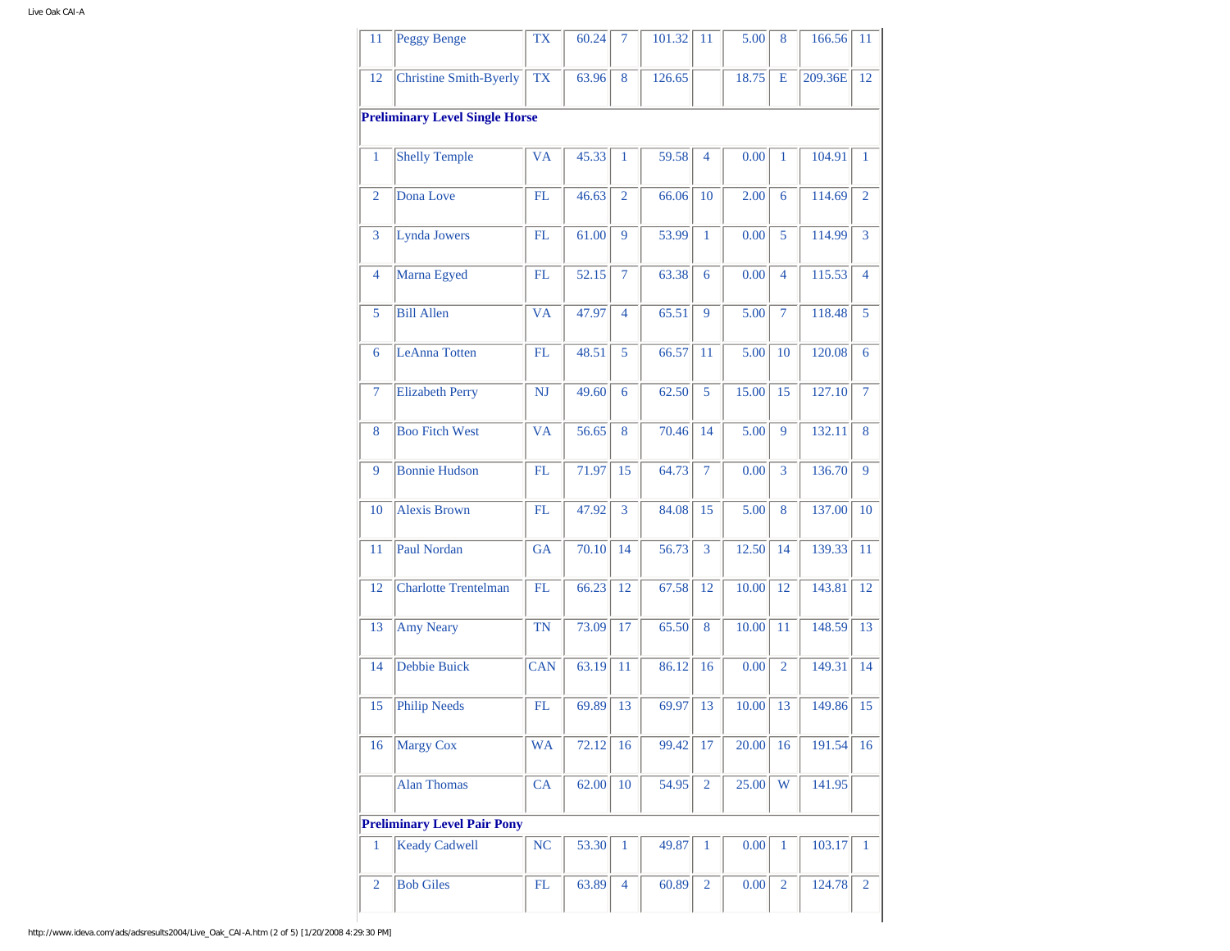| 11                                    | Peggy Benge                        | <b>TX</b>  | 60.24 | 7              | 101.32 | 11             | 5.00  | 8              | 166.56  | 11             |  |  |  |
|---------------------------------------|------------------------------------|------------|-------|----------------|--------|----------------|-------|----------------|---------|----------------|--|--|--|
| 12                                    | <b>Christine Smith-Byerly</b>      | <b>TX</b>  | 63.96 | 8              | 126.65 |                | 18.75 | E              | 209.36E | 12             |  |  |  |
| <b>Preliminary Level Single Horse</b> |                                    |            |       |                |        |                |       |                |         |                |  |  |  |
| $\mathbf{1}$                          | <b>Shelly Temple</b>               | <b>VA</b>  | 45.33 | 1              | 59.58  | $\overline{4}$ | 0.00  | $\mathbf{1}$   | 104.91  | $\mathbf{1}$   |  |  |  |
| $\overline{2}$                        | Dona Love                          | FL         | 46.63 | $\overline{2}$ | 66.06  | 10             | 2.00  | 6              | 114.69  | $\overline{2}$ |  |  |  |
| 3                                     | Lynda Jowers                       | FL         | 61.00 | 9              | 53.99  | $\mathbf{1}$   | 0.00  | 5              | 114.99  | 3              |  |  |  |
| $\overline{4}$                        | Marna Egyed                        | FL         | 52.15 | 7              | 63.38  | 6              | 0.00  | $\overline{4}$ | 115.53  | 4              |  |  |  |
| 5                                     | <b>Bill Allen</b>                  | <b>VA</b>  | 47.97 | $\overline{4}$ | 65.51  | 9              | 5.00  | $\tau$         | 118.48  | 5              |  |  |  |
| 6                                     | <b>LeAnna Totten</b>               | FL         | 48.51 | 5              | 66.57  | 11             | 5.00  | 10             | 120.08  | 6              |  |  |  |
| $\tau$                                | <b>Elizabeth Perry</b>             | NJ         | 49.60 | 6              | 62.50  | 5              | 15.00 | 15             | 127.10  | $\overline{7}$ |  |  |  |
| 8                                     | <b>Boo Fitch West</b>              | <b>VA</b>  | 56.65 | 8              | 70.46  | 14             | 5.00  | 9              | 132.11  | 8              |  |  |  |
| 9                                     | <b>Bonnie Hudson</b>               | FL         | 71.97 | 15             | 64.73  | $\tau$         | 0.00  | 3              | 136.70  | 9              |  |  |  |
| 10                                    | <b>Alexis Brown</b>                | FL         | 47.92 | 3              | 84.08  | 15             | 5.00  | 8              | 137.00  | 10             |  |  |  |
| 11                                    | Paul Nordan                        | <b>GA</b>  | 70.10 | 14             | 56.73  | 3              | 12.50 | 14             | 139.33  | 11             |  |  |  |
| 12                                    | <b>Charlotte Trentelman</b>        | FL         | 66.23 | 12             | 67.58  | 12             | 10.00 | 12             | 143.81  | 12             |  |  |  |
| 13                                    | <b>Amy Neary</b>                   | <b>TN</b>  | 73.09 | 17             | 65.50  | 8              | 10.00 | 11             | 148.59  | 13             |  |  |  |
| 14                                    | Debbie Buick                       | <b>CAN</b> | 63.19 | 11             | 86.12  | 16             | 0.00  | $\overline{2}$ | 149.31  | 14             |  |  |  |
| 15                                    | <b>Philip Needs</b>                | FL         | 69.89 | 13             | 69.97  | 13             | 10.00 | 13             | 149.86  | 15             |  |  |  |
| 16                                    | <b>Margy Cox</b>                   | <b>WA</b>  | 72.12 | 16             | 99.42  | 17             | 20.00 | 16             | 191.54  | 16             |  |  |  |
|                                       | <b>Alan Thomas</b>                 | CA         | 62.00 | 10             | 54.95  | $\overline{2}$ | 25.00 | W              | 141.95  |                |  |  |  |
|                                       | <b>Preliminary Level Pair Pony</b> |            |       |                |        |                |       |                |         |                |  |  |  |
| $\mathbf{1}$                          | <b>Keady Cadwell</b>               | NC         | 53.30 | 1              | 49.87  | 1              | 0.00  | 1              | 103.17  | 1              |  |  |  |
| $\overline{2}$                        | <b>Bob Giles</b>                   | FL         | 63.89 | $\overline{4}$ | 60.89  | $\overline{2}$ | 0.00  | $\overline{2}$ | 124.78  | $\overline{2}$ |  |  |  |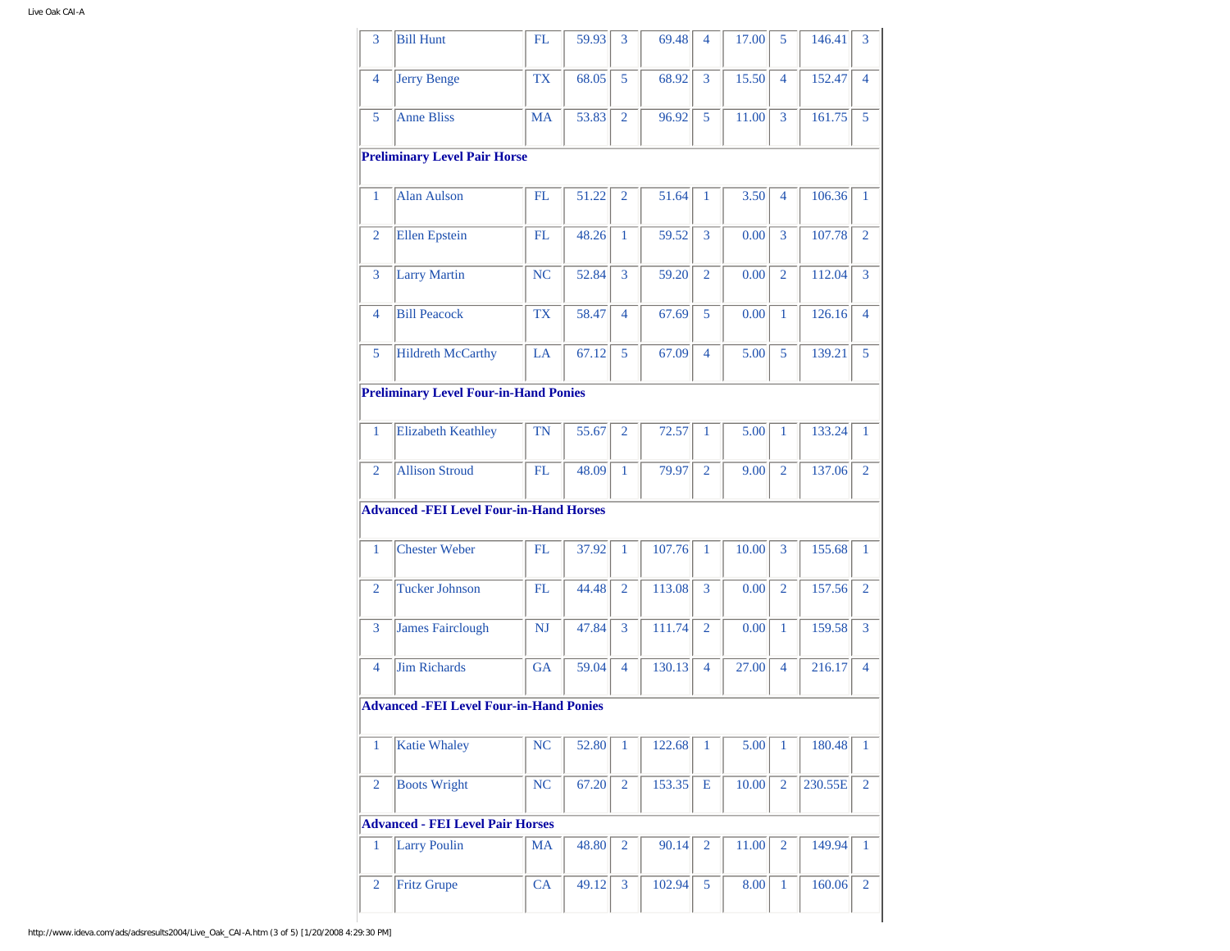| 3              |                                                |           |       |                |        |                |       |                |         |                |
|----------------|------------------------------------------------|-----------|-------|----------------|--------|----------------|-------|----------------|---------|----------------|
|                | <b>Bill Hunt</b>                               | FL        | 59.93 | 3              | 69.48  | 4              | 17.00 | 5              | 146.41  | 3              |
| 4              | <b>Jerry Benge</b>                             | <b>TX</b> | 68.05 | 5              | 68.92  | 3              | 15.50 | $\overline{4}$ | 152.47  | 4              |
| 5              | <b>Anne Bliss</b>                              | <b>MA</b> | 53.83 | $\overline{2}$ | 96.92  | 5              | 11.00 | 3              | 161.75  | 5              |
|                | <b>Preliminary Level Pair Horse</b>            |           |       |                |        |                |       |                |         |                |
| $\mathbf{1}$   | <b>Alan Aulson</b>                             | FL        | 51.22 | 2              | 51.64  | 1              | 3.50  | $\overline{4}$ | 106.36  | 1              |
| $\overline{2}$ | <b>Ellen Epstein</b>                           | FL        | 48.26 | $\mathbf{1}$   | 59.52  | 3              | 0.00  | 3              | 107.78  | $\overline{2}$ |
| 3              | <b>Larry Martin</b>                            | <b>NC</b> | 52.84 | 3              | 59.20  | $\overline{2}$ | 0.00  | $\overline{2}$ | 112.04  | 3              |
| 4              | <b>Bill Peacock</b>                            | <b>TX</b> | 58.47 | $\overline{4}$ | 67.69  | 5              | 0.00  | $\mathbf{1}$   | 126.16  | 4              |
| 5              | <b>Hildreth McCarthy</b>                       | LA        | 67.12 | 5              | 67.09  | 4              | 5.00  | 5              | 139.21  | 5              |
|                | <b>Preliminary Level Four-in-Hand Ponies</b>   |           |       |                |        |                |       |                |         |                |
| $\mathbf{1}$   | <b>Elizabeth Keathley</b>                      | TN        | 55.67 | $\overline{2}$ | 72.57  | 1              | 5.00  | $\mathbf{1}$   | 133.24  | 1              |
| $\overline{2}$ | <b>Allison Stroud</b>                          | FL        | 48.09 | 1              | 79.97  | $\overline{2}$ | 9.00  | $\overline{2}$ | 137.06  | $\overline{2}$ |
|                |                                                |           |       |                |        |                |       |                |         |                |
|                | <b>Advanced -FEI Level Four-in-Hand Horses</b> |           |       |                |        |                |       |                |         |                |
|                |                                                |           |       |                |        |                |       |                |         |                |
| $\mathbf{1}$   | <b>Chester Weber</b>                           | FL.       | 37.92 | $\mathbf{1}$   | 107.76 | $\mathbf{1}$   | 10.00 | 3              | 155.68  | $\mathbf{1}$   |
| $\overline{2}$ | <b>Tucker Johnson</b>                          | FL        | 44.48 | 2              | 113.08 | 3              | 0.00  | 2              | 157.56  | $\overline{2}$ |
| 3              | <b>James Fairclough</b>                        | <b>NJ</b> | 47.84 | 3              | 111.74 | $\overline{2}$ | 0.00  | $\mathbf{1}$   | 159.58  | 3              |
| 4              | <b>Jim Richards</b>                            | GA        | 59.04 | $\overline{4}$ | 130.13 | 4              | 27.00 | $\overline{4}$ | 216.17  | 4              |
|                | <b>Advanced -FEI Level Four-in-Hand Ponies</b> |           |       |                |        |                |       |                |         |                |
| $\mathbf{1}$   | <b>Katie Whaley</b>                            | NC        | 52.80 | 1              | 122.68 | 1              | 5.00  | $\mathbf{1}$   | 180.48  | 1              |
| $\overline{2}$ | <b>Boots Wright</b>                            | NC        | 67.20 | $\overline{2}$ | 153.35 | E              | 10.00 | $\overline{2}$ | 230.55E | $\overline{2}$ |
|                | <b>Advanced - FEI Level Pair Horses</b>        |           |       |                |        |                |       |                |         |                |
| $\mathbf{1}$   | <b>Larry Poulin</b>                            | <b>MA</b> | 48.80 | 2              | 90.14  | $\overline{2}$ | 11.00 | $\overline{2}$ | 149.94  | 1              |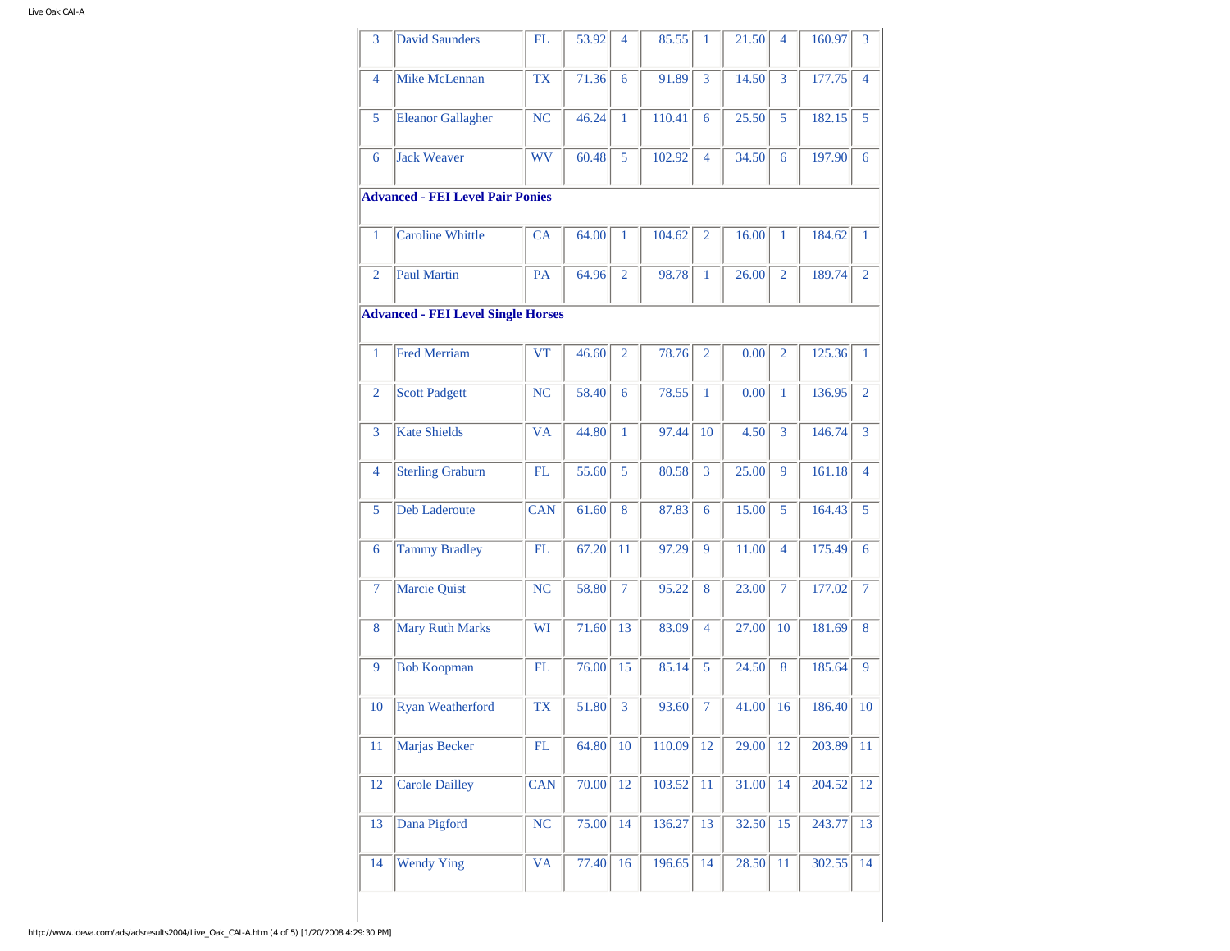| 3              | <b>David Saunders</b>                     | FL         | 53.92 | $\overline{4}$ | 85.55  | $\mathbf{1}$   | 21.50 | 4              | 160.97 | 3              |
|----------------|-------------------------------------------|------------|-------|----------------|--------|----------------|-------|----------------|--------|----------------|
| 4              | Mike McLennan                             | <b>TX</b>  | 71.36 | 6              | 91.89  | 3              | 14.50 | 3              | 177.75 | 4              |
| 5              | <b>Eleanor Gallagher</b>                  | NC         | 46.24 | 1              | 110.41 | 6              | 25.50 | 5              | 182.15 | 5              |
| 6              | <b>Jack Weaver</b>                        | <b>WV</b>  | 60.48 | 5              | 102.92 | $\overline{4}$ | 34.50 | 6              | 197.90 | 6              |
|                | <b>Advanced - FEI Level Pair Ponies</b>   |            |       |                |        |                |       |                |        |                |
| 1              | <b>Caroline Whittle</b>                   | CA         | 64.00 | 1              | 104.62 | $\overline{2}$ | 16.00 | 1              | 184.62 | $\mathbf{1}$   |
| $\overline{2}$ | Paul Martin                               | PA         | 64.96 | $\overline{2}$ | 98.78  | 1              | 26.00 | $\overline{2}$ | 189.74 | $\overline{2}$ |
|                | <b>Advanced - FEI Level Single Horses</b> |            |       |                |        |                |       |                |        |                |
| $\mathbf{1}$   | <b>Fred Merriam</b>                       | <b>VT</b>  | 46.60 | $\overline{2}$ | 78.76  | $\overline{2}$ | 0.00  | $\overline{2}$ | 125.36 | $\mathbf{1}$   |
| $\overline{2}$ | <b>Scott Padgett</b>                      | <b>NC</b>  | 58.40 | 6              | 78.55  | $\mathbf{1}$   | 0.00  | $\mathbf{1}$   | 136.95 | $\overline{2}$ |
| 3              | <b>Kate Shields</b>                       | <b>VA</b>  | 44.80 | $\mathbf{1}$   | 97.44  | 10             | 4.50  | 3              | 146.74 | 3              |
| $\overline{4}$ | <b>Sterling Graburn</b>                   | FL         | 55.60 | 5              | 80.58  | 3              | 25.00 | 9              | 161.18 | $\overline{4}$ |
| 5              | <b>Deb Laderoute</b>                      | <b>CAN</b> | 61.60 | 8              | 87.83  | 6              | 15.00 | 5              | 164.43 | 5              |
| 6              | <b>Tammy Bradley</b>                      | FL         | 67.20 | 11             | 97.29  | 9              | 11.00 | $\overline{4}$ | 175.49 | 6              |
| 7              | <b>Marcie Quist</b>                       | <b>NC</b>  | 58.80 | $\overline{7}$ | 95.22  | 8              | 23.00 | $\overline{7}$ | 177.02 | $\overline{7}$ |
| 8              | <b>Mary Ruth Marks</b>                    | WI         | 71.60 | 13             | 83.09  | $\overline{4}$ | 27.00 | 10             | 181.69 | 8              |
| 9              | <b>Bob Koopman</b>                        | FL         | 76.00 | 15             | 85.14  | 5              | 24.50 | 8              | 185.64 | 9              |
| 10             | <b>Ryan Weatherford</b>                   | <b>TX</b>  | 51.80 | 3              | 93.60  | 7              | 41.00 | 16             | 186.40 | 10             |
| 11             | Marjas Becker                             | ${\rm FL}$ | 64.80 | 10             | 110.09 | 12             | 29.00 | 12             | 203.89 | 11             |
| 12             | <b>Carole Dailley</b>                     | <b>CAN</b> | 70.00 | 12             | 103.52 | 11             | 31.00 | 14             | 204.52 | 12             |
| 13             | Dana Pigford                              | NC         | 75.00 | 14             | 136.27 | 13             | 32.50 | 15             | 243.77 | 13             |
| 14             | <b>Wendy Ying</b>                         | <b>VA</b>  | 77.40 | 16             | 196.65 | 14             | 28.50 | 11             | 302.55 | 14             |